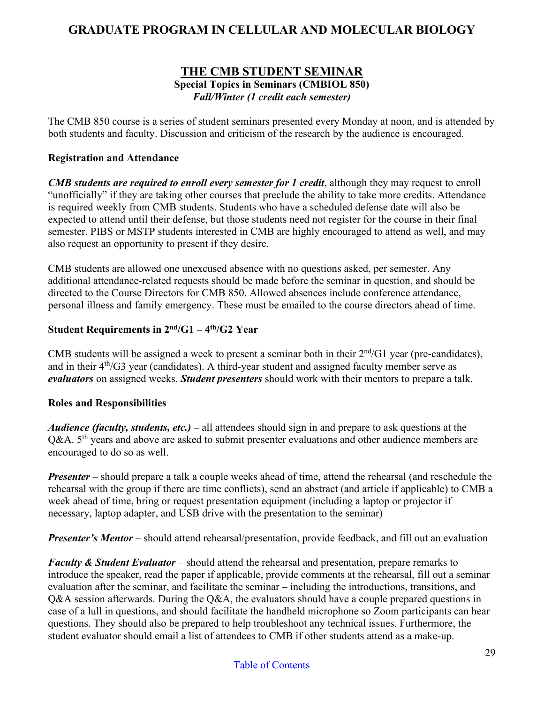# **GRADUATE PROGRAM IN CELLULAR AND MOLECULAR BIOLOGY**

### **THE CMB STUDENT SEMINAR Special Topics in Seminars (CMBIOL 850)**  *Fall/Winter (1 credit each semester)*

The CMB 850 course is a series of student seminars presented every Monday at noon, and is attended by both students and faculty. Discussion and criticism of the research by the audience is encouraged.

### **Registration and Attendance**

*CMB students are required to enroll every semester for 1 credit*, although they may request to enroll "unofficially" if they are taking other courses that preclude the ability to take more credits. Attendance is required weekly from CMB students. Students who have a scheduled defense date will also be expected to attend until their defense, but those students need not register for the course in their final semester. PIBS or MSTP students interested in CMB are highly encouraged to attend as well, and may also request an opportunity to present if they desire.

CMB students are allowed one unexcused absence with no questions asked, per semester. Any additional attendance-related requests should be made before the seminar in question, and should be directed to the Course Directors for CMB 850. Allowed absences include conference attendance, personal illness and family emergency. These must be emailed to the course directors ahead of time.

### **Student Requirements in 2nd/G1 – 4th/G2 Year**

CMB students will be assigned a week to present a seminar both in their  $2<sup>nd</sup>/G1$  year (pre-candidates), and in their  $4<sup>th</sup>/G3$  year (candidates). A third-year student and assigned faculty member serve as *evaluators* on assigned weeks. *Student presenters* should work with their mentors to prepare a talk.

#### **Roles and Responsibilities**

*Audience (faculty, students, etc.)* – all attendees should sign in and prepare to ask questions at the  $Q&A. 5<sup>th</sup>$  years and above are asked to submit presenter evaluations and other audience members are encouraged to do so as well.

*Presenter* – should prepare a talk a couple weeks ahead of time, attend the rehearsal (and reschedule the rehearsal with the group if there are time conflicts), send an abstract (and article if applicable) to CMB a week ahead of time, bring or request presentation equipment (including a laptop or projector if necessary, laptop adapter, and USB drive with the presentation to the seminar)

*Presenter's Mentor* – should attend rehearsal/presentation, provide feedback, and fill out an evaluation

*Faculty & Student Evaluator* – should attend the rehearsal and presentation, prepare remarks to introduce the speaker, read the paper if applicable, provide comments at the rehearsal, fill out a seminar evaluation after the seminar, and facilitate the seminar – including the introductions, transitions, and Q&A session afterwards. During the Q&A, the evaluators should have a couple prepared questions in case of a lull in questions, and should facilitate the handheld microphone so Zoom participants can hear questions. They should also be prepared to help troubleshoot any technical issues. Furthermore, the student evaluator should email a list of attendees to CMB if other students attend as a make-up.